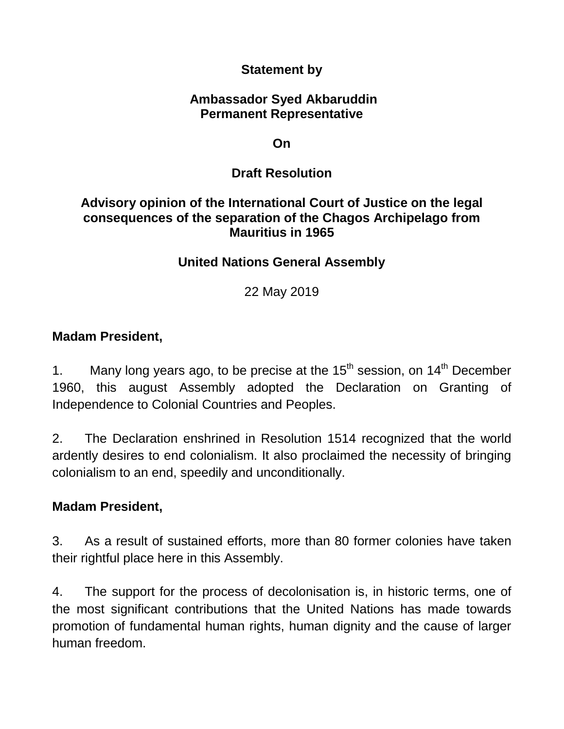### **Statement by**

#### **Ambassador Syed Akbaruddin Permanent Representative**

**On**

## **Draft Resolution**

### **Advisory opinion of the International Court of Justice on the legal consequences of the separation of the Chagos Archipelago from Mauritius in 1965**

## **United Nations General Assembly**

22 May 2019

### **Madam President,**

1. Many long years ago, to be precise at the  $15<sup>th</sup>$  session, on  $14<sup>th</sup>$  December 1960, this august Assembly adopted the Declaration on Granting of Independence to Colonial Countries and Peoples.

2. The Declaration enshrined in Resolution 1514 recognized that the world ardently desires to end colonialism. It also proclaimed the necessity of bringing colonialism to an end, speedily and unconditionally.

### **Madam President,**

3. As a result of sustained efforts, more than 80 former colonies have taken their rightful place here in this Assembly.

4. The support for the process of decolonisation is, in historic terms, one of the most significant contributions that the United Nations has made towards promotion of fundamental human rights, human dignity and the cause of larger human freedom.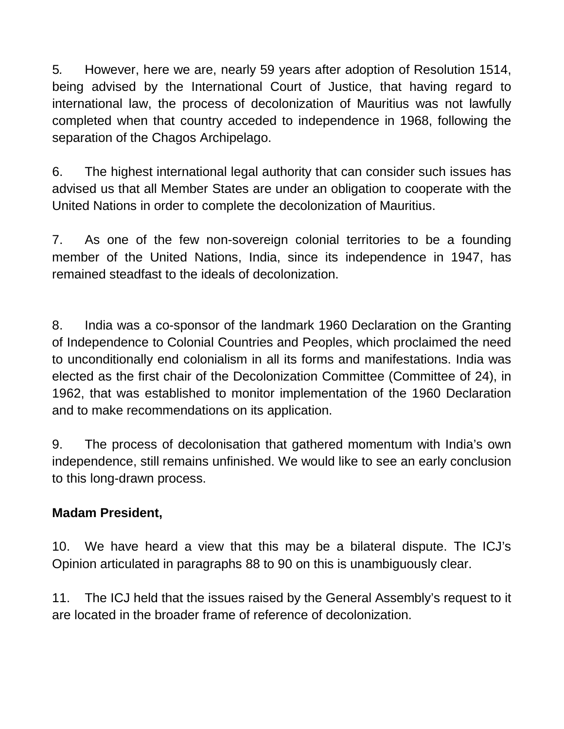5*.* However, here we are, nearly 59 years after adoption of Resolution 1514, being advised by the International Court of Justice, that having regard to international law, the process of decolonization of Mauritius was not lawfully completed when that country acceded to independence in 1968, following the separation of the Chagos Archipelago.

6. The highest international legal authority that can consider such issues has advised us that all Member States are under an obligation to cooperate with the United Nations in order to complete the decolonization of Mauritius.

7. As one of the few non-sovereign colonial territories to be a founding member of the United Nations, India, since its independence in 1947, has remained steadfast to the ideals of decolonization.

8. India was a co-sponsor of the landmark 1960 Declaration on the Granting of Independence to Colonial Countries and Peoples, which proclaimed the need to unconditionally end colonialism in all its forms and manifestations. India was elected as the first chair of the Decolonization Committee (Committee of 24), in 1962, that was established to monitor implementation of the 1960 Declaration and to make recommendations on its application.

9. The process of decolonisation that gathered momentum with India's own independence, still remains unfinished. We would like to see an early conclusion to this long-drawn process.

# **Madam President,**

10. We have heard a view that this may be a bilateral dispute. The ICJ's Opinion articulated in paragraphs 88 to 90 on this is unambiguously clear.

11. The ICJ held that the issues raised by the General Assembly's request to it are located in the broader frame of reference of decolonization.